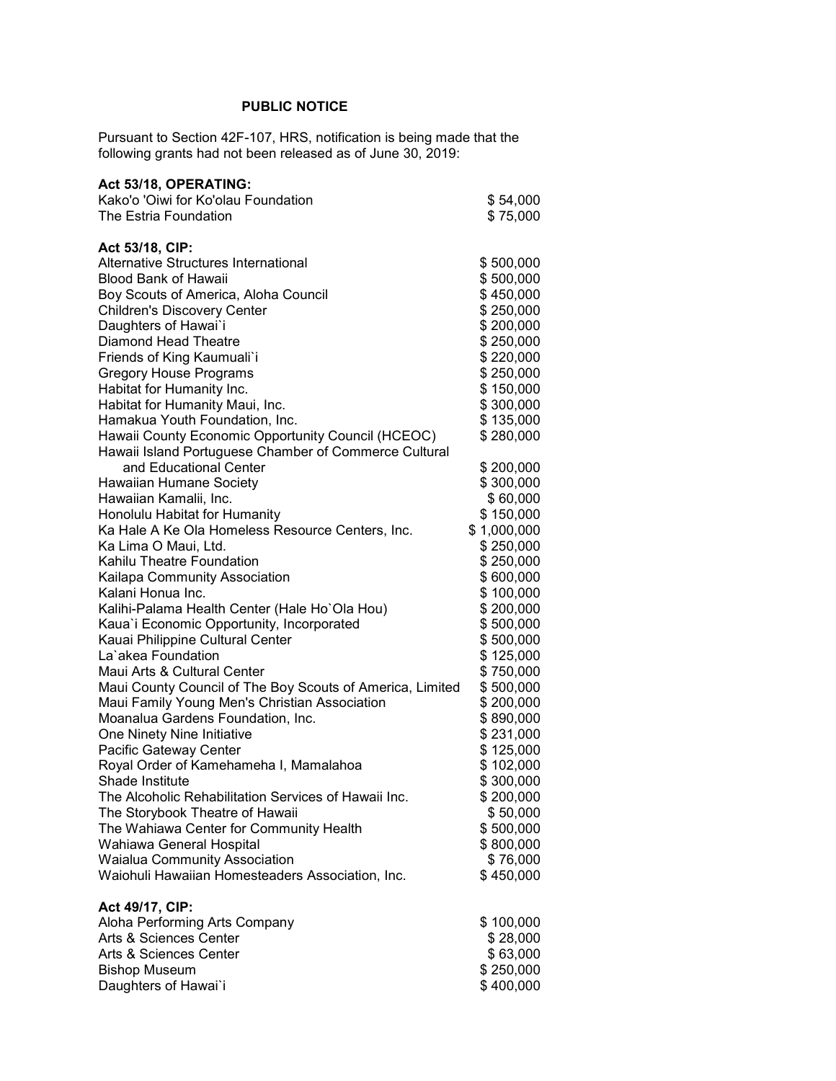## **PUBLIC NOTICE**

Pursuant to Section 42F-107, HRS, notification is being made that the following grants had not been released as of June 30, 2019:

| Act 53/18, OPERATING:                                     |             |
|-----------------------------------------------------------|-------------|
| Kako'o 'Oiwi for Ko'olau Foundation                       | \$54,000    |
| The Estria Foundation                                     | \$75,000    |
|                                                           |             |
| Act 53/18, CIP:                                           |             |
| Alternative Structures International                      | \$500,000   |
| <b>Blood Bank of Hawaii</b>                               | \$500,000   |
| Boy Scouts of America, Aloha Council                      | \$450,000   |
| <b>Children's Discovery Center</b>                        | \$250,000   |
| Daughters of Hawai'i                                      | \$200,000   |
| <b>Diamond Head Theatre</b>                               | \$250,000   |
| Friends of King Kaumuali`i                                | \$220,000   |
| <b>Gregory House Programs</b>                             | \$250,000   |
| Habitat for Humanity Inc.                                 | \$150,000   |
| Habitat for Humanity Maui, Inc.                           | \$300,000   |
| Hamakua Youth Foundation, Inc.                            | \$135,000   |
| Hawaii County Economic Opportunity Council (HCEOC)        | \$280,000   |
| Hawaii Island Portuguese Chamber of Commerce Cultural     |             |
| and Educational Center                                    | \$200,000   |
| Hawaiian Humane Society                                   | \$300,000   |
| Hawaiian Kamalii, Inc.                                    | \$60,000    |
| Honolulu Habitat for Humanity                             | \$150,000   |
| Ka Hale A Ke Ola Homeless Resource Centers, Inc.          | \$1,000,000 |
| Ka Lima O Maui, Ltd.                                      | \$250,000   |
| Kahilu Theatre Foundation                                 | \$250,000   |
| Kailapa Community Association                             | \$600,000   |
| Kalani Honua Inc.                                         | \$100,000   |
| Kalihi-Palama Health Center (Hale Ho'Ola Hou)             | \$200,000   |
| Kaua'i Economic Opportunity, Incorporated                 | \$500,000   |
| Kauai Philippine Cultural Center                          | \$500,000   |
| La`akea Foundation                                        | \$125,000   |
| Maui Arts & Cultural Center                               | \$750,000   |
| Maui County Council of The Boy Scouts of America, Limited | \$500,000   |
| Maui Family Young Men's Christian Association             | \$200,000   |
| Moanalua Gardens Foundation, Inc.                         | \$890,000   |
| One Ninety Nine Initiative                                | \$231,000   |
| Pacific Gateway Center                                    | \$125,000   |
| Royal Order of Kamehameha I, Mamalahoa                    | \$102,000   |
| Shade Institute                                           | \$300,000   |
| The Alcoholic Rehabilitation Services of Hawaii Inc.      | \$200,000   |
| The Storybook Theatre of Hawaii                           | \$50,000    |
| The Wahiawa Center for Community Health                   | \$500,000   |
| Wahiawa General Hospital                                  | \$800,000   |
| <b>Waialua Community Association</b>                      | \$76,000    |
| Waiohuli Hawaiian Homesteaders Association, Inc.          | \$450,000   |
| Act 49/17, CIP:                                           |             |
| Aloha Performing Arts Company                             | \$100,000   |
| Arts & Sciences Center                                    | \$28,000    |
| Arts & Sciences Center                                    | \$63,000    |
| <b>Bishop Museum</b>                                      | \$250,000   |
| Daughters of Hawai`i                                      | \$400,000   |